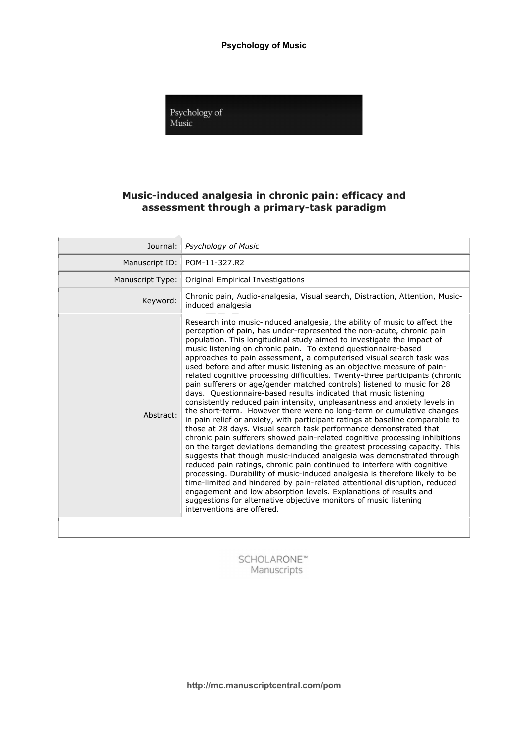

## Music-induced analgesia in chronic pain: efficacy and assessment through a primary-task paradigm

| Journal:         | <b>Psychology of Music</b>                                                                                                                                                                                                                                                                                                                                                                                                                                                                                                                                                                                                                                                                                                                                                                                                                                                                                                                                                                                                                                                                                                                                                                                                                                                                                                                                                                                                                                                                                                                                                                                                                         |
|------------------|----------------------------------------------------------------------------------------------------------------------------------------------------------------------------------------------------------------------------------------------------------------------------------------------------------------------------------------------------------------------------------------------------------------------------------------------------------------------------------------------------------------------------------------------------------------------------------------------------------------------------------------------------------------------------------------------------------------------------------------------------------------------------------------------------------------------------------------------------------------------------------------------------------------------------------------------------------------------------------------------------------------------------------------------------------------------------------------------------------------------------------------------------------------------------------------------------------------------------------------------------------------------------------------------------------------------------------------------------------------------------------------------------------------------------------------------------------------------------------------------------------------------------------------------------------------------------------------------------------------------------------------------------|
| Manuscript ID:   | POM-11-327.R2                                                                                                                                                                                                                                                                                                                                                                                                                                                                                                                                                                                                                                                                                                                                                                                                                                                                                                                                                                                                                                                                                                                                                                                                                                                                                                                                                                                                                                                                                                                                                                                                                                      |
| Manuscript Type: | Original Empirical Investigations                                                                                                                                                                                                                                                                                                                                                                                                                                                                                                                                                                                                                                                                                                                                                                                                                                                                                                                                                                                                                                                                                                                                                                                                                                                                                                                                                                                                                                                                                                                                                                                                                  |
| Keyword:         | Chronic pain, Audio-analgesia, Visual search, Distraction, Attention, Music-<br>induced analgesia                                                                                                                                                                                                                                                                                                                                                                                                                                                                                                                                                                                                                                                                                                                                                                                                                                                                                                                                                                                                                                                                                                                                                                                                                                                                                                                                                                                                                                                                                                                                                  |
| Abstract:        | Research into music-induced analgesia, the ability of music to affect the<br>perception of pain, has under-represented the non-acute, chronic pain<br>population. This longitudinal study aimed to investigate the impact of<br>music listening on chronic pain. To extend questionnaire-based<br>approaches to pain assessment, a computerised visual search task was<br>used before and after music listening as an objective measure of pain-<br>related cognitive processing difficulties. Twenty-three participants (chronic<br>pain sufferers or age/gender matched controls) listened to music for 28<br>days. Questionnaire-based results indicated that music listening<br>consistently reduced pain intensity, unpleasantness and anxiety levels in<br>the short-term. However there were no long-term or cumulative changes<br>in pain relief or anxiety, with participant ratings at baseline comparable to<br>those at 28 days. Visual search task performance demonstrated that<br>chronic pain sufferers showed pain-related cognitive processing inhibitions<br>on the target deviations demanding the greatest processing capacity. This<br>suggests that though music-induced analgesia was demonstrated through<br>reduced pain ratings, chronic pain continued to interfere with cognitive<br>processing. Durability of music-induced analgesia is therefore likely to be<br>time-limited and hindered by pain-related attentional disruption, reduced<br>engagement and low absorption levels. Explanations of results and<br>suggestions for alternative objective monitors of music listening<br>interventions are offered. |
|                  |                                                                                                                                                                                                                                                                                                                                                                                                                                                                                                                                                                                                                                                                                                                                                                                                                                                                                                                                                                                                                                                                                                                                                                                                                                                                                                                                                                                                                                                                                                                                                                                                                                                    |

SCHOLARONE™ Manuscripts

http://mc.manuscriptcentral.com/pom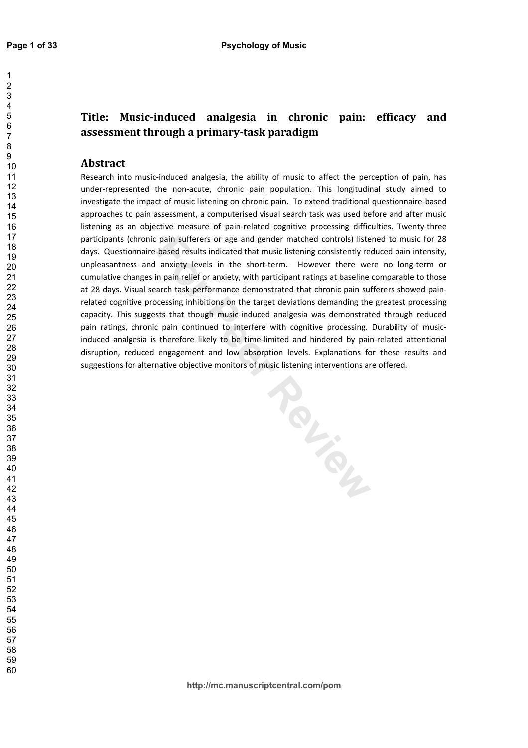## Title: Music-induced analgesia in chronic pain: efficacy and assessment through a primary-task paradigm

## **Abstract**

Research into music-induced analgesia, the ability of music to affect the perception of pain, has under-represented the non-acute, chronic pain population. This longitudinal study aimed to investigate the impact of music listening on chronic pain. To extend traditional questionnaire-based approaches to pain assessment, a computerised visual search task was used before and after music listening as an objective measure of pain-related cognitive processing difficulties. Twenty-three participants (chronic pain sufferers or age and gender matched controls) listened to music for 28 days. Questionnaire-based results indicated that music listening consistently reduced pain intensity, unpleasantness and anxiety levels in the short-term. However there were no long-term or cumulative changes in pain relief or anxiety, with participant ratings at baseline comparable to those at 28 days. Visual search task performance demonstrated that chronic pain sufferers showed painrelated cognitive processing inhibitions on the target deviations demanding the greatest processing capacity. This suggests that though music-induced analgesia was demonstrated through reduced pain ratings, chronic pain continued to interfere with cognitive processing. Durability of musicinduced analgesia is therefore likely to be time-limited and hindered by pain-related attentional disruption, reduced engagement and low absorption levels. Explanations for these results and suggestions for alternative objective monitors of music listening interventions are offered.

**For Peer Review**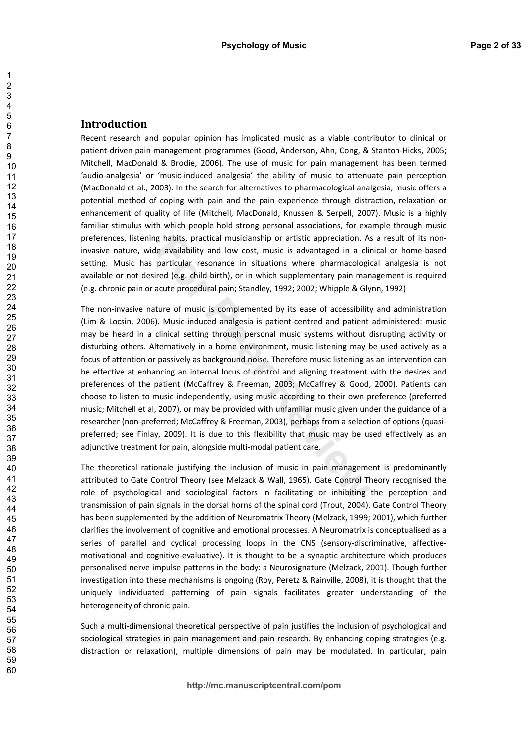### **Introduction**

Recent research and popular opinion has implicated music as a viable contributor to clinical or patient-driven pain management programmes (Good, Anderson, Ahn, Cong, & Stanton-Hicks, 2005; Mitchell, MacDonald & Brodie, 2006). The use of music for pain management has been termed 'audio-analgesia' or 'music-induced analgesia' the ability of music to attenuate pain perception (MacDonald et al., 2003). In the search for alternatives to pharmacological analgesia, music offers a potential method of coping with pain and the pain experience through distraction, relaxation or enhancement of quality of life (Mitchell, MacDonald, Knussen & Serpell, 2007). Music is a highly familiar stimulus with which people hold strong personal associations, for example through music preferences, listening habits, practical musicianship or artistic appreciation. As a result of its noninvasive nature, wide availability and low cost, music is advantaged in a clinical or home-based setting. Music has particular resonance in situations where pharmacological analgesia is not available or not desired (e.g. child-birth), or in which supplementary pain management is required (e.g. chronic pain or acute procedural pain; Standley, 1992; 2002; Whipple & Glynn, 1992)

The non-invasive nature of music is complemented by its ease of accessibility and administration (Lim & Locsin, 2006). Music-induced analgesia is patient-centred and patient administered: music may be heard in a clinical setting through personal music systems without disrupting activity or disturbing others. Alternatively in a home environment, music listening may be used actively as a focus of attention or passively as background noise. Therefore music listening as an intervention can be effective at enhancing an internal locus of control and aligning treatment with the desires and preferences of the patient (McCaffrey & Freeman, 2003; McCaffrey & Good, 2000). Patients can choose to listen to music independently, using music according to their own preference (preferred music; Mitchell et al, 2007), or may be provided with unfamiliar music given under the guidance of a researcher (non-preferred; McCaffrey & Freeman, 2003), perhaps from a selection of options (quasipreferred; see Finlay, 2009). It is due to this flexibility that music may be used effectively as an adjunctive treatment for pain, alongside multi-modal patient care.

The theoretical rationale justifying the inclusion of music in pain management is predominantly attributed to Gate Control Theory (see Melzack & Wall, 1965). Gate Control Theory recognised the role of psychological and sociological factors in facilitating or inhibiting the perception and transmission of pain signals in the dorsal horns of the spinal cord (Trout, 2004). Gate Control Theory has been supplemented by the addition of Neuromatrix Theory (Melzack, 1999; 2001), which further clarifies the involvement of cognitive and emotional processes. A Neuromatrix is conceptualised as a series of parallel and cyclical processing loops in the CNS (sensory-discriminative, affectivemotivational and cognitive-evaluative). It is thought to be a synaptic architecture which produces personalised nerve impulse patterns in the body: a Neurosignature (Melzack, 2001). Though further investigation into these mechanisms is ongoing (Roy, Peretz & Rainville, 2008), it is thought that the uniquely individuated patterning of pain signals facilitates greater understanding of the heterogeneity of chronic pain.

Such a multi-dimensional theoretical perspective of pain justifies the inclusion of psychological and sociological strategies in pain management and pain research. By enhancing coping strategies (e.g. distraction or relaxation), multiple dimensions of pain may be modulated. In particular, pain

 $\overline{1}$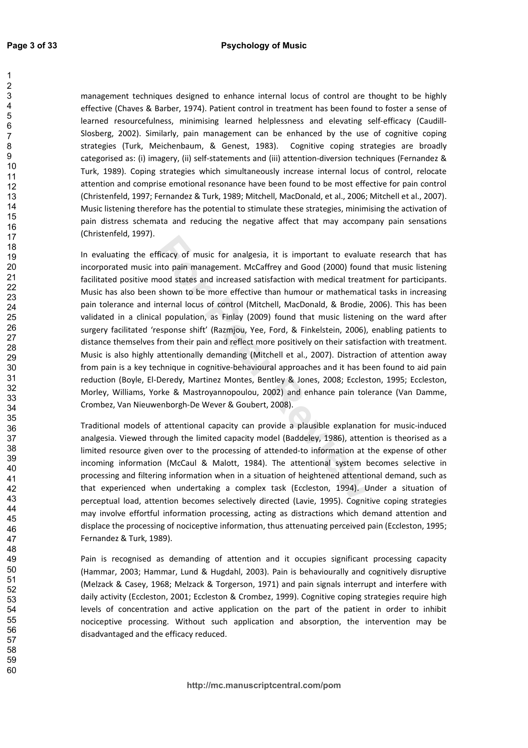management techniques designed to enhance internal locus of control are thought to be highly effective (Chaves & Barber, 1974). Patient control in treatment has been found to foster a sense of learned resourcefulness, minimising learned helplessness and elevating self-efficacy (Caudill-Slosberg, 2002). Similarly, pain management can be enhanced by the use of cognitive coping strategies (Turk, Meichenbaum, & Genest, 1983). Cognitive coping strategies are broadly categorised as: (i) imagery, (ii) self-statements and (iii) attention-diversion techniques (Fernandez & Turk, 1989). Coping strategies which simultaneously increase internal locus of control, relocate attention and comprise emotional resonance have been found to be most effective for pain control (Christenfeld, 1997; Fernandez & Turk, 1989; Mitchell, MacDonald, et al., 2006; Mitchell et al., 2007). Music listening therefore has the potential to stimulate these strategies, minimising the activation of pain distress schemata and reducing the negative affect that may accompany pain sensations (Christenfeld, 1997).

In evaluating the efficacy of music for analgesia, it is important to evaluate research that has incorporated music into pain management. McCaffrey and Good (2000) found that music listening facilitated positive mood states and increased satisfaction with medical treatment for participants. Music has also been shown to be more effective than humour or mathematical tasks in increasing pain tolerance and internal locus of control (Mitchell, MacDonald, & Brodie, 2006). This has been validated in a clinical population, as Finlay (2009) found that music listening on the ward after surgery facilitated 'response shift' (Razmjou, Yee, Ford, & Finkelstein, 2006), enabling patients to distance themselves from their pain and reflect more positively on their satisfaction with treatment. Music is also highly attentionally demanding (Mitchell et al., 2007). Distraction of attention away from pain is a key technique in cognitive-behavioural approaches and it has been found to aid pain reduction (Boyle, El-Deredy, Martinez Montes, Bentley & Jones, 2008; Eccleston, 1995; Eccleston, Morley, Williams, Yorke & Mastroyannopoulou, 2002) and enhance pain tolerance (Van Damme, Crombez, Van Nieuwenborgh-De Wever & Goubert, 2008).

Traditional models of attentional capacity can provide a plausible explanation for music-induced analgesia. Viewed through the limited capacity model (Baddeley, 1986), attention is theorised as a limited resource given over to the processing of attended-to information at the expense of other incoming information (McCaul & Malott, 1984). The attentional system becomes selective in processing and filtering information when in a situation of heightened attentional demand, such as that experienced when undertaking a complex task (Eccleston, 1994). Under a situation of perceptual load, attention becomes selectively directed (Lavie, 1995). Cognitive coping strategies may involve effortful information processing, acting as distractions which demand attention and displace the processing of nociceptive information, thus attenuating perceived pain (Eccleston, 1995; Fernandez & Turk, 1989).

Pain is recognised as demanding of attention and it occupies significant processing capacity (Hammar, 2003; Hammar, Lund & Hugdahl, 2003). Pain is behaviourally and cognitively disruptive (Melzack & Casey, 1968; Melzack & Torgerson, 1971) and pain signals interrupt and interfere with daily activity (Eccleston, 2001; Eccleston & Crombez, 1999). Cognitive coping strategies require high levels of concentration and active application on the part of the patient in order to inhibit nociceptive processing. Without such application and absorption, the intervention may be disadvantaged and the efficacy reduced.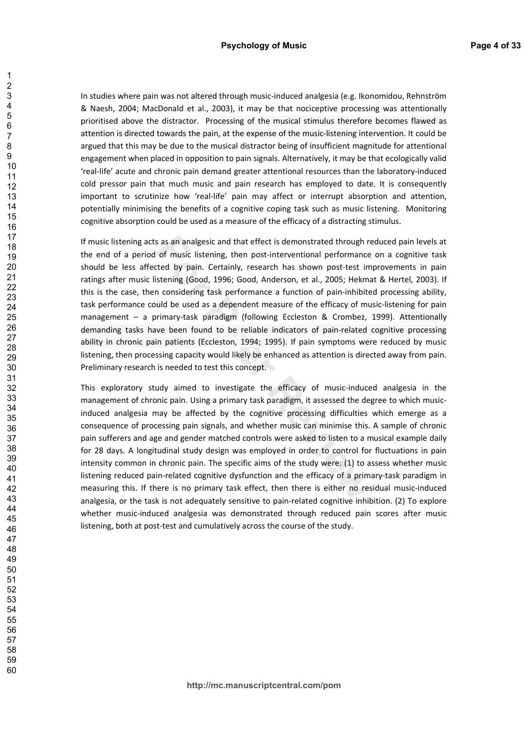In studies where pain was not altered through music-induced analgesia (e.g. Ikonomidou, Rehnström & Naesh, 2004; MacDonald et al., 2003), it may be that nociceptive processing was attentionally prioritised above the distractor. Processing of the musical stimulus therefore becomes flawed as attention is directed towards the pain, at the expense of the music-listening intervention. It could be argued that this may be due to the musical distractor being of insufficient magnitude for attentional engagement when placed in opposition to pain signals. Alternatively, it may be that ecologically valid 'real-life' acute and chronic pain demand greater attentional resources than the laboratory-induced cold pressor pain that much music and pain research has employed to date. It is consequently important to scrutinize how 'real-life' pain may affect or interrupt absorption and attention, potentially minimising the benefits of a cognitive coping task such as music listening. Monitoring cognitive absorption could be used as a measure of the efficacy of a distracting stimulus.

If music listening acts as an analgesic and that effect is demonstrated through reduced pain levels at the end of a period of music listening, then post-interventional performance on a cognitive task should be less affected by pain. Certainly, research has shown post-test improvements in pain ratings after music listening (Good, 1996; Good, Anderson, et al., 2005; Hekmat & Hertel, 2003). If this is the case, then considering task performance a function of pain-inhibited processing ability, task performance could be used as a dependent measure of the efficacy of music-listening for pain management - a primary-task paradigm (following Eccleston & Crombez, 1999). Attentionally demanding tasks have been found to be reliable indicators of pain-related cognitive processing ability in chronic pain patients (Eccleston, 1994; 1995). If pain symptoms were reduced by music listening, then processing capacity would likely be enhanced as attention is directed away from pain. Preliminary research is needed to test this concept.

This exploratory study aimed to investigate the efficacy of music-induced analgesia in the management of chronic pain. Using a primary task paradigm, it assessed the degree to which musicinduced analgesia may be affected by the cognitive processing difficulties which emerge as a consequence of processing pain signals, and whether music can minimise this. A sample of chronic pain sufferers and age and gender matched controls were asked to listen to a musical example daily for 28 days. A longitudinal study design was employed in order to control for fluctuations in pain intensity common in chronic pain. The specific aims of the study were: (1) to assess whether music listening reduced pain-related cognitive dysfunction and the efficacy of a primary-task paradigm in measuring this. If there is no primary task effect, then there is either no residual music-induced analgesia, or the task is not adequately sensitive to pain-related cognitive inhibition. (2) To explore whether music-induced analgesia was demonstrated through reduced pain scores after music listening, both at post-test and cumulatively across the course of the study.

 $\overline{1}$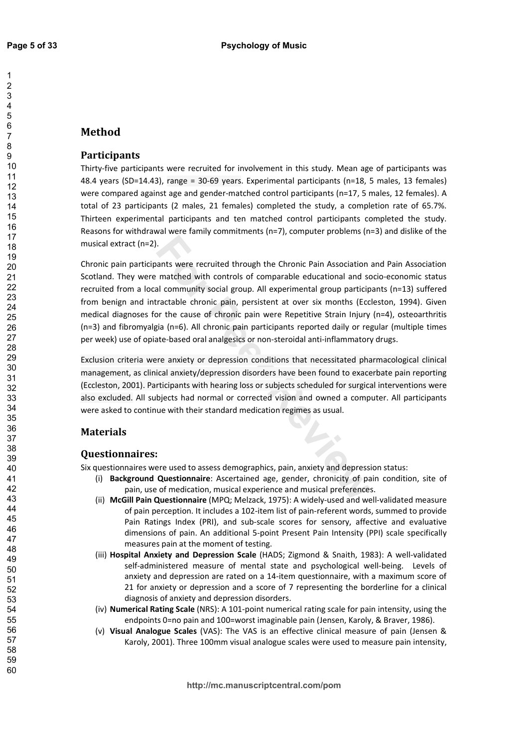$\overline{1}$  $\mathfrak{p}$ 3  $\overline{4}$ 5 6

 $\overline{7}$ 8

9  $10$ 

 $11$ 

 $12$ 

13

 $14$ 15

16

 $17$ 

## **Method**

#### **Participants**

Thirty-five participants were recruited for involvement in this study. Mean age of participants was 48.4 years (SD=14.43), range = 30-69 years. Experimental participants (n=18, 5 males, 13 females) were compared against age and gender-matched control participants (n=17, 5 males, 12 females). A total of 23 participants (2 males, 21 females) completed the study, a completion rate of 65.7%. Thirteen experimental participants and ten matched control participants completed the study. Reasons for withdrawal were family commitments ( $n=7$ ), computer problems ( $n=3$ ) and dislike of the musical extract (n=2).

Chronic pain participants were recruited through the Chronic Pain Association and Pain Association Scotland. They were matched with controls of comparable educational and socio-economic status recruited from a local community social group. All experimental group participants (n=13) suffered from benign and intractable chronic pain, persistent at over six months (Eccleston, 1994). Given medical diagnoses for the cause of chronic pain were Repetitive Strain Injury (n=4), osteoarthritis (n=3) and fibromyalgia (n=6). All chronic pain participants reported daily or regular (multiple times per week) use of opiate-based oral analgesics or non-steroidal anti-inflammatory drugs.

Exclusion criteria were anxiety or depression conditions that necessitated pharmacological clinical management, as clinical anxiety/depression disorders have been found to exacerbate pain reporting (Eccleston, 2001). Participants with hearing loss or subjects scheduled for surgical interventions were also excluded. All subjects had normal or corrected vision and owned a computer. All participants were asked to continue with their standard medication regimes as usual.

## **Materials**

### **Questionnaires:**

Six questionnaires were used to assess demographics, pain, anxiety and depression status:

- (i) Background Questionnaire: Ascertained age, gender, chronicity of pain condition, site of pain, use of medication, musical experience and musical preferences.
- (ii) McGill Pain Questionnaire (MPQ; Melzack, 1975): A widely-used and well-validated measure of pain perception. It includes a 102-item list of pain-referent words, summed to provide Pain Ratings Index (PRI), and sub-scale scores for sensory, affective and evaluative dimensions of pain. An additional 5-point Present Pain Intensity (PPI) scale specifically measures pain at the moment of testing.
- (iii) Hospital Anxiety and Depression Scale (HADS; Zigmond & Snaith, 1983): A well-validated self-administered measure of mental state and psychological well-being. Levels of anxiety and depression are rated on a 14-item questionnaire, with a maximum score of 21 for anxiety or depression and a score of 7 representing the borderline for a clinical diagnosis of anxiety and depression disorders.
- (iv) Numerical Rating Scale (NRS): A 101-point numerical rating scale for pain intensity, using the endpoints 0=no pain and 100=worst imaginable pain (Jensen, Karoly, & Braver, 1986).
- (v) Visual Analogue Scales (VAS): The VAS is an effective clinical measure of pain (Jensen & Karoly, 2001). Three 100mm visual analogue scales were used to measure pain intensity,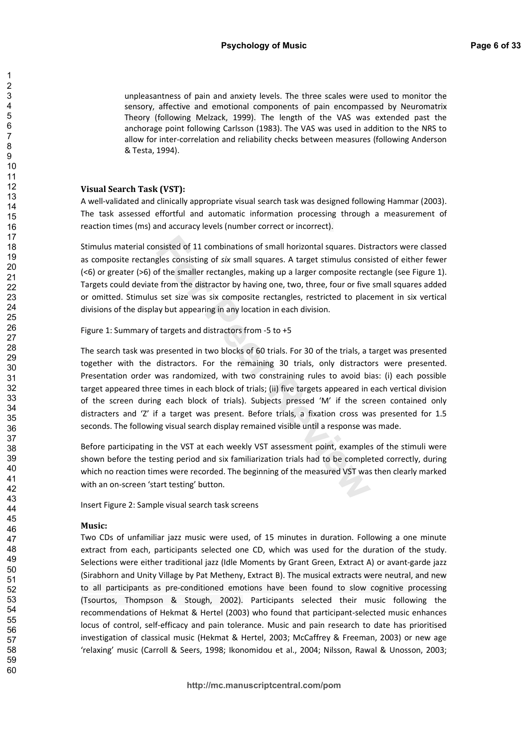unpleasantness of pain and anxiety levels. The three scales were used to monitor the sensory, affective and emotional components of pain encompassed by Neuromatrix Theory (following Melzack, 1999). The length of the VAS was extended past the anchorage point following Carlsson (1983). The VAS was used in addition to the NRS to allow for inter-correlation and reliability checks between measures (following Anderson & Testa, 1994).

#### **Visual Search Task (VST):**

A well-validated and clinically appropriate visual search task was designed following Hammar (2003). The task assessed effortful and automatic information processing through a measurement of reaction times (ms) and accuracy levels (number correct or incorrect).

Stimulus material consisted of 11 combinations of small horizontal squares. Distractors were classed as composite rectangles consisting of six small squares. A target stimulus consisted of either fewer (<6) or greater (>6) of the smaller rectangles, making up a larger composite rectangle (see Figure 1). Targets could deviate from the distractor by having one, two, three, four or five small squares added or omitted. Stimulus set size was six composite rectangles, restricted to placement in six vertical divisions of the display but appearing in any location in each division.

Figure 1: Summary of targets and distractors from -5 to +5

The search task was presented in two blocks of 60 trials. For 30 of the trials, a target was presented together with the distractors. For the remaining 30 trials, only distractors were presented. Presentation order was randomized, with two constraining rules to avoid bias: (i) each possible target appeared three times in each block of trials; (ii) five targets appeared in each vertical division of the screen during each block of trials). Subjects pressed 'M' if the screen contained only distracters and 'Z' if a target was present. Before trials, a fixation cross was presented for 1.5 seconds. The following visual search display remained visible until a response was made.

Before participating in the VST at each weekly VST assessment point, examples of the stimuli were shown before the testing period and six familiarization trials had to be completed correctly, during which no reaction times were recorded. The beginning of the measured VST was then clearly marked with an on-screen 'start testing' button.

Insert Figure 2: Sample visual search task screens

#### Music:

Two CDs of unfamiliar jazz music were used, of 15 minutes in duration. Following a one minute extract from each, participants selected one CD, which was used for the duration of the study. Selections were either traditional jazz (Idle Moments by Grant Green, Extract A) or avant-garde jazz (Sirabhorn and Unity Village by Pat Metheny, Extract B). The musical extracts were neutral, and new to all participants as pre-conditioned emotions have been found to slow cognitive processing (Tsourtos, Thompson & Stough, 2002). Participants selected their music following the recommendations of Hekmat & Hertel (2003) who found that participant-selected music enhances locus of control, self-efficacy and pain tolerance. Music and pain research to date has prioritised investigation of classical music (Hekmat & Hertel, 2003; McCaffrey & Freeman, 2003) or new age 'relaxing' music (Carroll & Seers, 1998; Ikonomidou et al., 2004; Nilsson, Rawal & Unosson, 2003;

 $\overline{1}$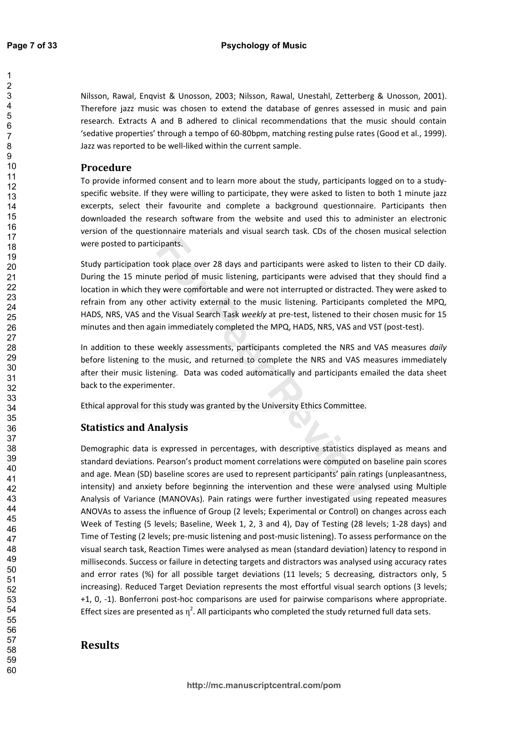Nilsson, Rawal, Engvist & Unosson, 2003; Nilsson, Rawal, Unestahl, Zetterberg & Unosson, 2001). Therefore jazz music was chosen to extend the database of genres assessed in music and pain research. Extracts A and B adhered to clinical recommendations that the music should contain 'sedative properties' through a tempo of 60-80bpm, matching resting pulse rates (Good et al., 1999). Jazz was reported to be well-liked within the current sample.

## Procedure

To provide informed consent and to learn more about the study, participants logged on to a studyspecific website. If they were willing to participate, they were asked to listen to both 1 minute jazz excerpts, select their favourite and complete a background questionnaire. Participants then downloaded the research software from the website and used this to administer an electronic version of the questionnaire materials and visual search task. CDs of the chosen musical selection were posted to participants.

Study participation took place over 28 days and participants were asked to listen to their CD daily. During the 15 minute period of music listening, participants were advised that they should find a location in which they were comfortable and were not interrupted or distracted. They were asked to refrain from any other activity external to the music listening. Participants completed the MPQ, HADS, NRS, VAS and the Visual Search Task weekly at pre-test, listened to their chosen music for 15 minutes and then again immediately completed the MPQ. HADS, NRS, VAS and VST (post-test).

In addition to these weekly assessments, participants completed the NRS and VAS measures daily before listening to the music, and returned to complete the NRS and VAS measures immediately after their music listening. Data was coded automatically and participants emailed the data sheet back to the experimenter.

Ethical approval for this study was granted by the University Ethics Committee.

## **Statistics and Analysis**

Demographic data is expressed in percentages, with descriptive statistics displayed as means and standard deviations. Pearson's product moment correlations were computed on baseline pain scores and age. Mean (SD) baseline scores are used to represent participants' pain ratings (unpleasantness, intensity) and anxiety before beginning the intervention and these were analysed using Multiple Analysis of Variance (MANOVAs). Pain ratings were further investigated using repeated measures ANOVAs to assess the influence of Group (2 levels; Experimental or Control) on changes across each Week of Testing (5 levels; Baseline, Week 1, 2, 3 and 4), Day of Testing (28 levels; 1-28 days) and Time of Testing (2 levels; pre-music listening and post-music listening). To assess performance on the visual search task, Reaction Times were analysed as mean (standard deviation) latency to respond in milliseconds. Success or failure in detecting targets and distractors was analysed using accuracy rates and error rates (%) for all possible target deviations (11 levels; 5 decreasing, distractors only, 5 increasing). Reduced Target Deviation represents the most effortful visual search options (3 levels; +1, 0, -1). Bonferroni post-hoc comparisons are used for pairwise comparisons where appropriate. Effect sizes are presented as  $\eta^2$ . All participants who completed the study returned full data sets.

## **Results**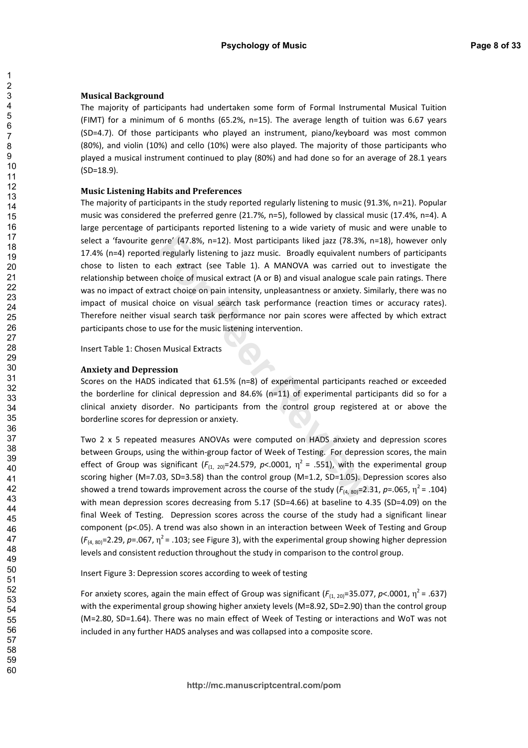#### **Musical Background**

The majority of participants had undertaken some form of Formal Instrumental Musical Tuition (FIMT) for a minimum of 6 months (65.2%, n=15). The average length of tuition was 6.67 years (SD=4.7). Of those participants who played an instrument, piano/keyboard was most common (80%), and violin (10%) and cello (10%) were also played. The majority of those participants who played a musical instrument continued to play (80%) and had done so for an average of 28.1 years  $(SD=18.9).$ 

#### **Music Listening Habits and Preferences**

The majority of participants in the study reported regularly listening to music (91.3%, n=21). Popular music was considered the preferred genre (21.7%, n=5), followed by classical music (17.4%, n=4). A large percentage of participants reported listening to a wide variety of music and were unable to select a 'favourite genre' (47.8%, n=12). Most participants liked jazz (78.3%, n=18), however only 17.4% (n=4) reported regularly listening to jazz music. Broadly equivalent numbers of participants chose to listen to each extract (see Table 1). A MANOVA was carried out to investigate the relationship between choice of musical extract (A or B) and visual analogue scale pain ratings. There was no impact of extract choice on pain intensity, unpleasantness or anxiety. Similarly, there was no impact of musical choice on visual search task performance (reaction times or accuracy rates). Therefore neither visual search task performance nor pain scores were affected by which extract participants chose to use for the music listening intervention.

**Insert Table 1: Chosen Musical Extracts** 

#### **Anxiety and Depression**

Scores on the HADS indicated that 61.5% (n=8) of experimental participants reached or exceeded the borderline for clinical depression and 84.6%  $(n=11)$  of experimental participants did so for a clinical anxiety disorder. No participants from the control group registered at or above the borderline scores for depression or anxiety.

Two 2 x 5 repeated measures ANOVAs were computed on HADS anxiety and depression scores between Groups, using the within-group factor of Week of Testing. For depression scores, the main effect of Group was significant ( $F_{(1, 20)}$ =24.579, p<.0001,  $\eta^2$  = .551), with the experimental group scoring higher (M=7.03, SD=3.58) than the control group (M=1.2, SD=1.05). Depression scores also showed a trend towards improvement across the course of the study ( $F_{(4, 80)}$ =2.31, p=.065,  $\eta^2$  = .104) with mean depression scores decreasing from 5.17 (SD=4.66) at baseline to 4.35 (SD=4.09) on the final Week of Testing. Depression scores across the course of the study had a significant linear component ( $p$ <.05). A trend was also shown in an interaction between Week of Testing and Group  $(F_{(4,80)}=2.29, p=.067, \eta^2=.103$ ; see Figure 3), with the experimental group showing higher depression levels and consistent reduction throughout the study in comparison to the control group.

Insert Figure 3: Depression scores according to week of testing

For anxiety scores, again the main effect of Group was significant ( $F_{(1, 20)}$ =35.077, p<.0001,  $\eta^2$  = .637) with the experimental group showing higher anxiety levels (M=8.92, SD=2.90) than the control group (M=2.80, SD=1.64). There was no main effect of Week of Testing or interactions and WoT was not included in any further HADS analyses and was collapsed into a composite score.

 $\mathbf{1}$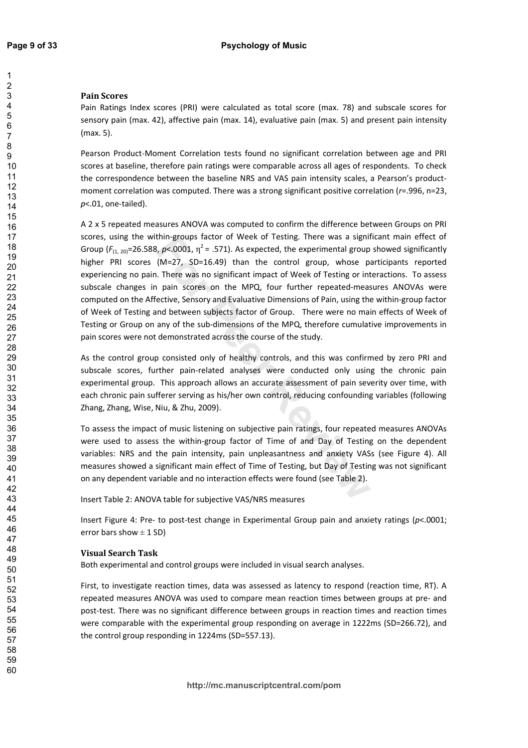#### **Pain Scores**

Pain Ratings Index scores (PRI) were calculated as total score (max. 78) and subscale scores for sensory pain (max. 42), affective pain (max. 14), evaluative pain (max. 5) and present pain intensity  $(max. 5)$ .

Pearson Product-Moment Correlation tests found no significant correlation between age and PRI scores at baseline, therefore pain ratings were comparable across all ages of respondents. To check the correspondence between the baseline NRS and VAS pain intensity scales, a Pearson's productmoment correlation was computed. There was a strong significant positive correlation ( $r = .996$ , n=23,  $p<.01$ , one-tailed).

A 2 x 5 repeated measures ANOVA was computed to confirm the difference between Groups on PRI scores, using the within-groups factor of Week of Testing. There was a significant main effect of Group  $(F_{(1,20)}=26.588, p<.0001, \eta^2 = .571)$ . As expected, the experimental group showed significantly higher PRI scores (M=27, SD=16.49) than the control group, whose participants reported experiencing no pain. There was no significant impact of Week of Testing or interactions. To assess subscale changes in pain scores on the MPQ, four further repeated-measures ANOVAs were computed on the Affective, Sensory and Evaluative Dimensions of Pain, using the within-group factor of Week of Testing and between subjects factor of Group. There were no main effects of Week of Testing or Group on any of the sub-dimensions of the MPQ, therefore cumulative improvements in pain scores were not demonstrated across the course of the study.

As the control group consisted only of healthy controls, and this was confirmed by zero PRI and subscale scores, further pain-related analyses were conducted only using the chronic pain experimental group. This approach allows an accurate assessment of pain severity over time, with each chronic pain sufferer serving as his/her own control, reducing confounding variables (following Zhang, Zhang, Wise, Niu, & Zhu, 2009).

To assess the impact of music listening on subjective pain ratings, four repeated measures ANOVAs were used to assess the within-group factor of Time of and Day of Testing on the dependent variables: NRS and the pain intensity, pain unpleasantness and anxiety VASs (see Figure 4). All measures showed a significant main effect of Time of Testing, but Day of Testing was not significant on any dependent variable and no interaction effects were found (see Table 2).

Insert Table 2: ANOVA table for subjective VAS/NRS measures

Insert Figure 4: Pre- to post-test change in Experimental Group pain and anxiety ratings ( $p$ <.0001; error bars show  $\pm$  1 SD)

#### **Visual Search Task**

Both experimental and control groups were included in visual search analyses.

First, to investigate reaction times, data was assessed as latency to respond (reaction time, RT). A repeated measures ANOVA was used to compare mean reaction times between groups at pre- and post-test. There was no significant difference between groups in reaction times and reaction times were comparable with the experimental group responding on average in 1222ms (SD=266.72), and the control group responding in 1224ms (SD=557.13).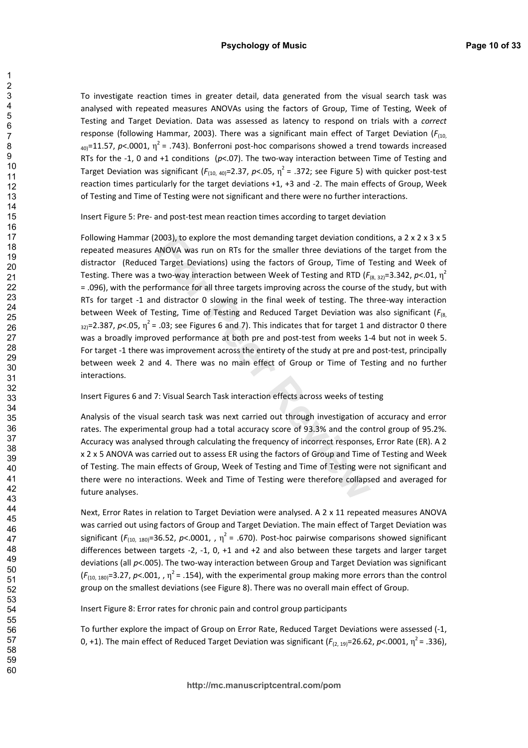To investigate reaction times in greater detail, data generated from the visual search task was analysed with repeated measures ANOVAs using the factors of Group, Time of Testing, Week of Testing and Target Deviation. Data was assessed as latency to respond on trials with a correct response (following Hammar, 2003). There was a significant main effect of Target Deviation ( $F_{(10)}$ <sub>40</sub>=11.57, p<.0001,  $\eta^2$  = .743). Bonferroni post-hoc comparisons showed a trend towards increased RTs for the -1, 0 and +1 conditions ( $p$ <.07). The two-way interaction between Time of Testing and Target Deviation was significant ( $F_{(10, 40)}$ =2.37, p<.05,  $\eta^2$  = .372; see Figure 5) with quicker post-test reaction times particularly for the target deviations +1, +3 and -2. The main effects of Group, Week of Testing and Time of Testing were not significant and there were no further interactions.

Insert Figure 5: Pre- and post-test mean reaction times according to target deviation

Following Hammar (2003), to explore the most demanding target deviation conditions, a 2 x 2 x 3 x 5 repeated measures ANOVA was run on RTs for the smaller three deviations of the target from the distractor (Reduced Target Deviations) using the factors of Group, Time of Testing and Week of Testing. There was a two-way interaction between Week of Testing and RTD ( $F_{(8, 32)}$ =3.342, p<.01,  $\eta^2$ = .096), with the performance for all three targets improving across the course of the study, but with RTs for target -1 and distractor 0 slowing in the final week of testing. The three-way interaction between Week of Testing, Time of Testing and Reduced Target Deviation was also significant ( $F_{(8)}$  $_{321}$ =2.387, p<.05,  $\eta^2$  = .03; see Figures 6 and 7). This indicates that for target 1 and distractor 0 there was a broadly improved performance at both pre and post-test from weeks 1-4 but not in week 5. For target -1 there was improvement across the entirety of the study at pre and post-test, principally between week 2 and 4. There was no main effect of Group or Time of Testing and no further interactions.

#### Insert Figures 6 and 7: Visual Search Task interaction effects across weeks of testing

Analysis of the visual search task was next carried out through investigation of accuracy and error rates. The experimental group had a total accuracy score of 93.3% and the control group of 95.2%. Accuracy was analysed through calculating the frequency of incorrect responses, Error Rate (ER). A 2 x 2 x 5 ANOVA was carried out to assess ER using the factors of Group and Time of Testing and Week of Testing. The main effects of Group, Week of Testing and Time of Testing were not significant and there were no interactions. Week and Time of Testing were therefore collapsed and averaged for future analyses.

Next, Error Rates in relation to Target Deviation were analysed. A 2 x 11 repeated measures ANOVA was carried out using factors of Group and Target Deviation. The main effect of Target Deviation was significant ( $F_{(10, 180)}$ =36.52, p<.0001, ,  $\eta^2$  = .670). Post-hoc pairwise comparisons showed significant differences between targets -2, -1, 0, +1 and +2 and also between these targets and larger target deviations (all p<.005). The two-way interaction between Group and Target Deviation was significant  $(F_{(10, 180)}=3.27, p<.001, \eta^2=.154)$ , with the experimental group making more errors than the control group on the smallest deviations (see Figure 8). There was no overall main effect of Group.

Insert Figure 8: Error rates for chronic pain and control group participants

To further explore the impact of Group on Error Rate, Reduced Target Deviations were assessed (-1, 0, +1). The main effect of Reduced Target Deviation was significant ( $F_{(2, 19)}$ =26.62, p<.0001,  $\eta^2$  = .336),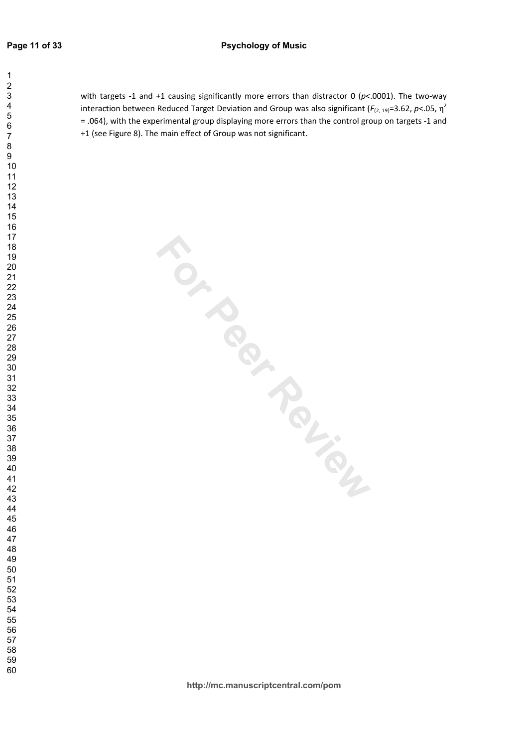with targets -1 and +1 causing significantly more errors than distractor 0 ( $p$ <.0001). The two-way interaction between Reduced Target Deviation and Group was also significant ( $F_{(2,19)}$ =3.62, p<.05,  $\eta^2$  $F_{(2, 19)} = 3.62$ , = .064), with the experimental group displaying more errors than the control group on targets -1 and experimental group displaying more errors than the control group on targe +1 (see Figure 8). The main effect of Group was not significant. e Figure 8). The main effect of Group was not significant.

**For Peer Replacement**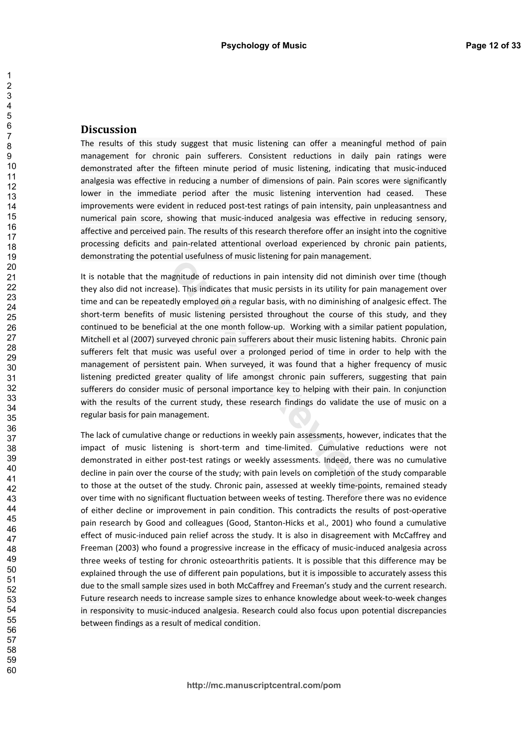## **Discussion**

The results of this study suggest that music listening can offer a meaningful method of pain management for chronic pain sufferers. Consistent reductions in daily pain ratings were demonstrated after the fifteen minute period of music listening, indicating that music-induced analgesia was effective in reducing a number of dimensions of pain. Pain scores were significantly lower in the immediate period after the music listening intervention had ceased. These improvements were evident in reduced post-test ratings of pain intensity, pain unpleasantness and numerical pain score, showing that music-induced analgesia was effective in reducing sensory, affective and perceived pain. The results of this research therefore offer an insight into the cognitive processing deficits and pain-related attentional overload experienced by chronic pain patients, demonstrating the potential usefulness of music listening for pain management.

It is notable that the magnitude of reductions in pain intensity did not diminish over time (though they also did not increase). This indicates that music persists in its utility for pain management over time and can be repeatedly employed on a regular basis, with no diminishing of analgesic effect. The short-term benefits of music listening persisted throughout the course of this study, and they continued to be beneficial at the one month follow-up. Working with a similar patient population, Mitchell et al (2007) surveyed chronic pain sufferers about their music listening habits. Chronic pain sufferers felt that music was useful over a prolonged period of time in order to help with the management of persistent pain. When surveyed, it was found that a higher frequency of music listening predicted greater quality of life amongst chronic pain sufferers, suggesting that pain sufferers do consider music of personal importance key to helping with their pain. In conjunction with the results of the current study, these research findings do validate the use of music on a regular basis for pain management.

The lack of cumulative change or reductions in weekly pain assessments, however, indicates that the impact of music listening is short-term and time-limited. Cumulative reductions were not demonstrated in either post-test ratings or weekly assessments. Indeed, there was no cumulative decline in pain over the course of the study; with pain levels on completion of the study comparable to those at the outset of the study. Chronic pain, assessed at weekly time-points, remained steady over time with no significant fluctuation between weeks of testing. Therefore there was no evidence of either decline or improvement in pain condition. This contradicts the results of post-operative pain research by Good and colleagues (Good, Stanton-Hicks et al., 2001) who found a cumulative effect of music-induced pain relief across the study. It is also in disagreement with McCaffrey and Freeman (2003) who found a progressive increase in the efficacy of music-induced analgesia across three weeks of testing for chronic osteoarthritis patients. It is possible that this difference may be explained through the use of different pain populations, but it is impossible to accurately assess this due to the small sample sizes used in both McCaffrey and Freeman's study and the current research. Future research needs to increase sample sizes to enhance knowledge about week-to-week changes in responsivity to music-induced analgesia. Research could also focus upon potential discrepancies between findings as a result of medical condition.

 $\overline{1}$  $\mathfrak{p}$ 3  $\overline{4}$ 5 6

 $\overline{7}$ 

8 9

 $10$ 

 $11$ 

 $12$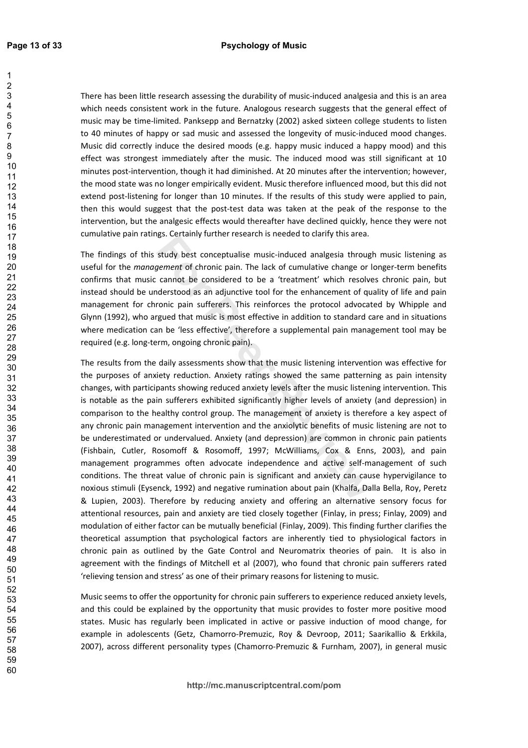There has been little research assessing the durability of music-induced analgesia and this is an area which needs consistent work in the future. Analogous research suggests that the general effect of music may be time-limited. Panksepp and Bernatzky (2002) asked sixteen college students to listen to 40 minutes of happy or sad music and assessed the longevity of music-induced mood changes. Music did correctly induce the desired moods (e.g. happy music induced a happy mood) and this effect was strongest immediately after the music. The induced mood was still significant at 10 minutes post-intervention, though it had diminished. At 20 minutes after the intervention; however, the mood state was no longer empirically evident. Music therefore influenced mood, but this did not extend post-listening for longer than 10 minutes. If the results of this study were applied to pain, then this would suggest that the post-test data was taken at the peak of the response to the intervention, but the analgesic effects would thereafter have declined quickly, hence they were not cumulative pain ratings. Certainly further research is needed to clarify this area.

The findings of this study best conceptualise music-induced analgesia through music listening as useful for the management of chronic pain. The lack of cumulative change or longer-term benefits confirms that music cannot be considered to be a 'treatment' which resolves chronic pain, but instead should be understood as an adjunctive tool for the enhancement of quality of life and pain management for chronic pain sufferers. This reinforces the protocol advocated by Whipple and Glynn (1992), who argued that music is most effective in addition to standard care and in situations where medication can be 'less effective', therefore a supplemental pain management tool may be required (e.g. long-term, ongoing chronic pain).

The results from the daily assessments show that the music listening intervention was effective for the purposes of anxiety reduction. Anxiety ratings showed the same patterning as pain intensity changes, with participants showing reduced anxiety levels after the music listening intervention. This is notable as the pain sufferers exhibited significantly higher levels of anxiety (and depression) in comparison to the healthy control group. The management of anxiety is therefore a key aspect of any chronic pain management intervention and the anxiolytic benefits of music listening are not to be underestimated or undervalued. Anxiety (and depression) are common in chronic pain patients (Fishbain, Cutler, Rosomoff & Rosomoff, 1997; McWilliams, Cox & Enns, 2003), and pain management programmes often advocate independence and active self-management of such conditions. The threat value of chronic pain is significant and anxiety can cause hypervigilance to noxious stimuli (Eysenck, 1992) and negative rumination about pain (Khalfa, Dalla Bella, Roy, Peretz & Lupien, 2003). Therefore by reducing anxiety and offering an alternative sensory focus for attentional resources, pain and anxiety are tied closely together (Finlay, in press; Finlay, 2009) and modulation of either factor can be mutually beneficial (Finlay, 2009). This finding further clarifies the theoretical assumption that psychological factors are inherently tied to physiological factors in chronic pain as outlined by the Gate Control and Neuromatrix theories of pain. It is also in agreement with the findings of Mitchell et al (2007), who found that chronic pain sufferers rated 'relieving tension and stress' as one of their primary reasons for listening to music.

Music seems to offer the opportunity for chronic pain sufferers to experience reduced anxiety levels, and this could be explained by the opportunity that music provides to foster more positive mood states. Music has regularly been implicated in active or passive induction of mood change, for example in adolescents (Getz, Chamorro-Premuzic, Roy & Devroop, 2011; Saarikallio & Erkkila, 2007), across different personality types (Chamorro-Premuzic & Furnham, 2007), in general music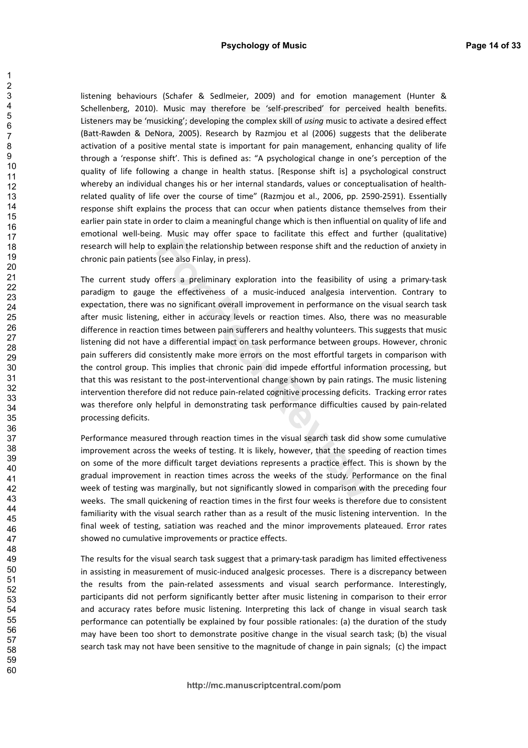listening behaviours (Schafer & Sedlmeier, 2009) and for emotion management (Hunter & Schellenberg, 2010). Music may therefore be 'self-prescribed' for perceived health benefits. Listeners may be 'musicking'; developing the complex skill of using music to activate a desired effect (Batt-Rawden & DeNora, 2005). Research by Razmiou et al (2006) suggests that the deliberate activation of a positive mental state is important for pain management, enhancing quality of life through a 'response shift'. This is defined as: "A psychological change in one's perception of the quality of life following a change in health status. [Response shift is] a psychological construct whereby an individual changes his or her internal standards, values or conceptualisation of healthrelated quality of life over the course of time" (Razmjou et al., 2006, pp. 2590-2591). Essentially response shift explains the process that can occur when patients distance themselves from their earlier pain state in order to claim a meaningful change which is then influential on quality of life and emotional well-being. Music may offer space to facilitate this effect and further (qualitative) research will help to explain the relationship between response shift and the reduction of anxiety in chronic pain patients (see also Finlay, in press).

The current study offers a preliminary exploration into the feasibility of using a primary-task paradigm to gauge the effectiveness of a music-induced analgesia intervention. Contrary to expectation, there was no significant overall improvement in performance on the visual search task after music listening, either in accuracy levels or reaction times. Also, there was no measurable difference in reaction times between pain sufferers and healthy volunteers. This suggests that music listening did not have a differential impact on task performance between groups. However, chronic pain sufferers did consistently make more errors on the most effortful targets in comparison with the control group. This implies that chronic pain did impede effortful information processing, but that this was resistant to the post-interventional change shown by pain ratings. The music listening intervention therefore did not reduce pain-related cognitive processing deficits. Tracking error rates was therefore only helpful in demonstrating task performance difficulties caused by pain-related processing deficits.

Performance measured through reaction times in the visual search task did show some cumulative improvement across the weeks of testing. It is likely, however, that the speeding of reaction times on some of the more difficult target deviations represents a practice effect. This is shown by the gradual improvement in reaction times across the weeks of the study. Performance on the final week of testing was marginally, but not significantly slowed in comparison with the preceding four weeks. The small quickening of reaction times in the first four weeks is therefore due to consistent familiarity with the visual search rather than as a result of the music listening intervention. In the final week of testing, satiation was reached and the minor improvements plateaued. Error rates showed no cumulative improvements or practice effects.

The results for the visual search task suggest that a primary-task paradigm has limited effectiveness in assisting in measurement of music-induced analgesic processes. There is a discrepancy between the results from the pain-related assessments and visual search performance. Interestingly, participants did not perform significantly better after music listening in comparison to their error and accuracy rates before music listening. Interpreting this lack of change in visual search task performance can potentially be explained by four possible rationales: (a) the duration of the study may have been too short to demonstrate positive change in the visual search task; (b) the visual search task may not have been sensitive to the magnitude of change in pain signals; (c) the impact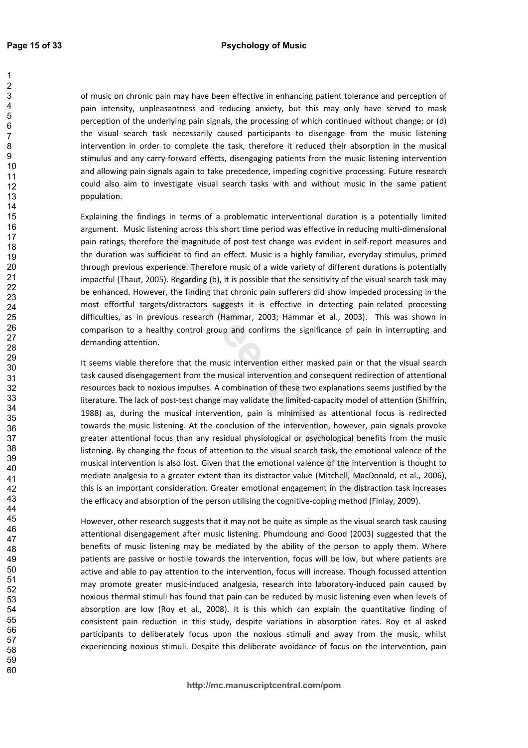$\blacktriangleleft$ 

of music on chronic pain may have been effective in enhancing patient tolerance and perception of pain intensity, unpleasantness and reducing anxiety, but this may only have served to mask perception of the underlying pain signals, the processing of which continued without change; or (d) the visual search task necessarily caused participants to disengage from the music listening intervention in order to complete the task, therefore it reduced their absorption in the musical stimulus and any carry-forward effects, disengaging patients from the music listening intervention and allowing pain signals again to take precedence, impeding cognitive processing. Future research could also aim to investigate visual search tasks with and without music in the same patient population.

Explaining the findings in terms of a problematic interventional duration is a potentially limited argument. Music listening across this short time period was effective in reducing multi-dimensional pain ratings, therefore the magnitude of post-test change was evident in self-report measures and the duration was sufficient to find an effect. Music is a highly familiar, everyday stimulus, primed through previous experience. Therefore music of a wide variety of different durations is potentially impactful (Thaut, 2005). Regarding (b), it is possible that the sensitivity of the visual search task may be enhanced. However, the finding that chronic pain sufferers did show impeded processing in the most effortful targets/distractors suggests it is effective in detecting pain-related processing difficulties, as in previous research (Hammar, 2003; Hammar et al., 2003). This was shown in comparison to a healthy control group and confirms the significance of pain in interrupting and demanding attention.

It seems viable therefore that the music intervention either masked pain or that the visual search task caused disengagement from the musical intervention and consequent redirection of attentional resources back to noxious impulses. A combination of these two explanations seems justified by the literature. The lack of post-test change may validate the limited-capacity model of attention (Shiffrin, 1988) as, during the musical intervention, pain is minimised as attentional focus is redirected towards the music listening. At the conclusion of the intervention, however, pain signals provoke greater attentional focus than any residual physiological or psychological benefits from the music listening. By changing the focus of attention to the visual search task, the emotional valence of the musical intervention is also lost. Given that the emotional valence of the intervention is thought to mediate analgesia to a greater extent than its distractor value (Mitchell, MacDonald, et al., 2006), this is an important consideration. Greater emotional engagement in the distraction task increases the efficacy and absorption of the person utilising the cognitive-coping method (Finlay, 2009).

However, other research suggests that it may not be quite as simple as the visual search task causing attentional disengagement after music listening. Phumdoung and Good (2003) suggested that the benefits of music listening may be mediated by the ability of the person to apply them. Where patients are passive or hostile towards the intervention, focus will be low, but where patients are active and able to pay attention to the intervention, focus will increase. Though focussed attention may promote greater music-induced analgesia, research into laboratory-induced pain caused by noxious thermal stimuli has found that pain can be reduced by music listening even when levels of absorption are low (Roy et al., 2008). It is this which can explain the quantitative finding of consistent pain reduction in this study, despite variations in absorption rates. Roy et al asked participants to deliberately focus upon the noxious stimuli and away from the music, whilst experiencing noxious stimuli. Despite this deliberate avoidance of focus on the intervention, pain

http://mc.manuscriptcentral.com/pom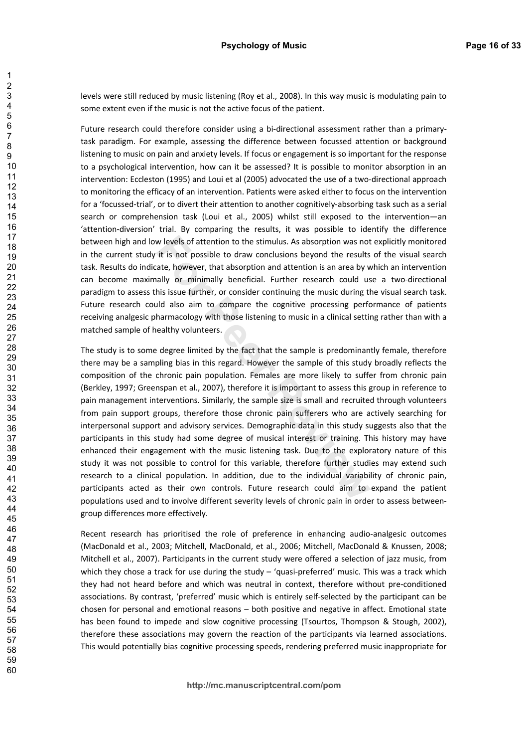levels were still reduced by music listening (Roy et al., 2008). In this way music is modulating pain to some extent even if the music is not the active focus of the patient.

Future research could therefore consider using a bi-directional assessment rather than a primarytask paradigm. For example, assessing the difference between focussed attention or background listening to music on pain and anxiety levels. If focus or engagement is so important for the response to a psychological intervention, how can it be assessed? It is possible to monitor absorption in an intervention: Eccleston (1995) and Loui et al (2005) advocated the use of a two-directional approach to monitoring the efficacy of an intervention. Patients were asked either to focus on the intervention for a 'focussed-trial', or to divert their attention to another cognitively-absorbing task such as a serial search or comprehension task (Loui et al., 2005) whilst still exposed to the intervention-an 'attention-diversion' trial. By comparing the results, it was possible to identify the difference between high and low levels of attention to the stimulus. As absorption was not explicitly monitored in the current study it is not possible to draw conclusions beyond the results of the visual search task. Results do indicate, however, that absorption and attention is an area by which an intervention can become maximally or minimally beneficial. Further research could use a two-directional paradigm to assess this issue further, or consider continuing the music during the visual search task. Future research could also aim to compare the cognitive processing performance of patients receiving analgesic pharmacology with those listening to music in a clinical setting rather than with a matched sample of healthy volunteers.

The study is to some degree limited by the fact that the sample is predominantly female, therefore there may be a sampling bias in this regard. However the sample of this study broadly reflects the composition of the chronic pain population. Females are more likely to suffer from chronic pain (Berkley, 1997; Greenspan et al., 2007), therefore it is important to assess this group in reference to pain management interventions. Similarly, the sample size is small and recruited through volunteers from pain support groups, therefore those chronic pain sufferers who are actively searching for interpersonal support and advisory services. Demographic data in this study suggests also that the participants in this study had some degree of musical interest or training. This history may have enhanced their engagement with the music listening task. Due to the exploratory nature of this study it was not possible to control for this variable, therefore further studies may extend such research to a clinical population. In addition, due to the individual variability of chronic pain, participants acted as their own controls. Future research could aim to expand the patient populations used and to involve different severity levels of chronic pain in order to assess betweengroup differences more effectively.

Recent research has prioritised the role of preference in enhancing audio-analgesic outcomes (MacDonald et al., 2003; Mitchell, MacDonald, et al., 2006; Mitchell, MacDonald & Knussen, 2008; Mitchell et al., 2007). Participants in the current study were offered a selection of jazz music, from which they chose a track for use during the study  $-$  'quasi-preferred' music. This was a track which they had not heard before and which was neutral in context, therefore without pre-conditioned associations. By contrast, 'preferred' music which is entirely self-selected by the participant can be chosen for personal and emotional reasons - both positive and negative in affect. Emotional state has been found to impede and slow cognitive processing (Tsourtos, Thompson & Stough, 2002), therefore these associations may govern the reaction of the participants via learned associations. This would potentially bias cognitive processing speeds, rendering preferred music inappropriate for

 $\overline{1}$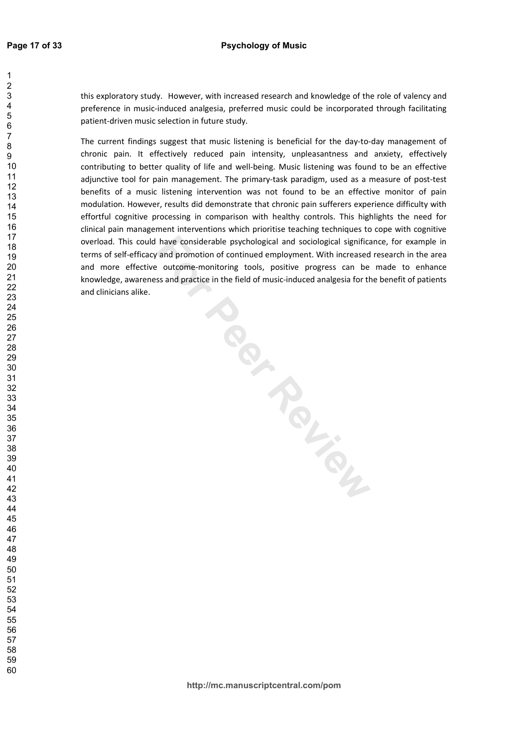this exploratory study. However, with increased research and knowledge of the role of valency and preference in music-induced analgesia, preferred music could be incorporated through facilitating patient-driven music selection in future study.

**For Periodicides** The current findings suggest that music listening is beneficial for the day-to-day management of chronic pain. It effectively reduced pain intensity, unpleasantness and anxiety, effectively contributing to better quality of life and well-being. Music listening was found to be an effective adjunctive tool for pain management. The primary-task paradigm, used as a measure of post-test benefits of a music listening intervention was not found to be an effective monitor of pain modulation. However, results did demonstrate that chronic pain sufferers experience difficulty with effortful cognitive processing in comparison with healthy controls. This highlights the need for clinical pain management interventions which prioritise teaching techniques to cope with cognitive overload. This could have considerable psychological and sociological significance, for example in terms of self-efficacy and promotion of continued employment. With increased research in the area and more effective outcome-monitoring tools, positive progress can be made to enhance knowledge, awareness and practice in the field of music-induced analgesia for the benefit of patients and clinicians alike.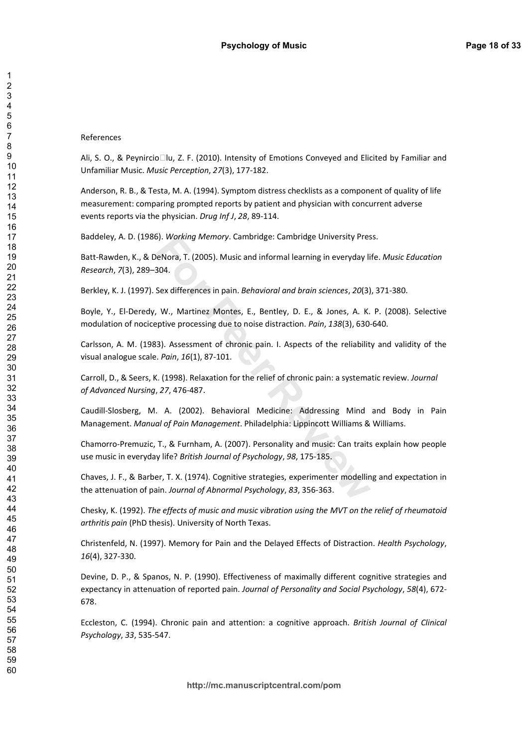## References

Ali, S. O., & Peynircio lu, Z. F. (2010). Intensity of Emotions Conveyed and Elicited by Familiar and Unfamiliar Music. Music Perception, 27(3), 177-182.

Anderson, R. B., & Testa, M. A. (1994). Symptom distress checklists as a component of quality of life measurement: comparing prompted reports by patient and physician with concurrent adverse events reports via the physician. Drug Inf J, 28, 89-114.

Baddeley, A. D. (1986). Working Memory. Cambridge: Cambridge University Press.

b). *Working Memory*. Cambridge: Cambridge University PreseNora, T. (2005). Music and informal learning in everyday li<br>
Sex differences in pain. *Behavioral and brain sciences, 20*(3)<br>
Sex differences in pain. *Behavioral* Batt-Rawden, K., & DeNora, T. (2005). Music and informal learning in everyday life. Music Education Research, 7(3), 289-304.

Berkley, K. J. (1997). Sex differences in pain. Behavioral and brain sciences, 20(3), 371-380.

Boyle, Y., El-Deredy, W., Martinez Montes, E., Bentley, D. E., & Jones, A. K. P. (2008). Selective modulation of nociceptive processing due to noise distraction. Pain, 138(3), 630-640.

Carlsson, A. M. (1983). Assessment of chronic pain. I. Aspects of the reliability and validity of the visual analogue scale. Pain, 16(1), 87-101.

Carroll, D., & Seers, K. (1998). Relaxation for the relief of chronic pain: a systematic review. Journal *of Advanced Nursing, 27, 476-487.* 

Caudill-Slosberg, M. A. (2002). Behavioral Medicine: Addressing Mind and Body in Pain Management. Manual of Pain Management. Philadelphia: Lippincott Williams & Williams.

Chamorro-Premuzic, T., & Furnham, A. (2007). Personality and music: Can traits explain how people use music in everyday life? British Journal of Psychology, 98, 175-185.

Chaves, J. F., & Barber, T. X. (1974). Cognitive strategies, experimenter modelling and expectation in the attenuation of pain. Journal of Abnormal Psychology, 83, 356-363.

Chesky, K. (1992). The effects of music and music vibration using the MVT on the relief of rheumatoid arthritis pain (PhD thesis). University of North Texas.

Christenfeld, N. (1997). Memory for Pain and the Delayed Effects of Distraction. Health Psychology,  $16(4)$ , 327-330.

Devine, D. P., & Spanos, N. P. (1990). Effectiveness of maximally different cognitive strategies and expectancy in attenuation of reported pain. Journal of Personality and Social Psychology, 58(4), 672-678.

Eccleston, C. (1994). Chronic pain and attention: a cognitive approach. British Journal of Clinical Psychology, 33, 535-547.

 $\overline{1}$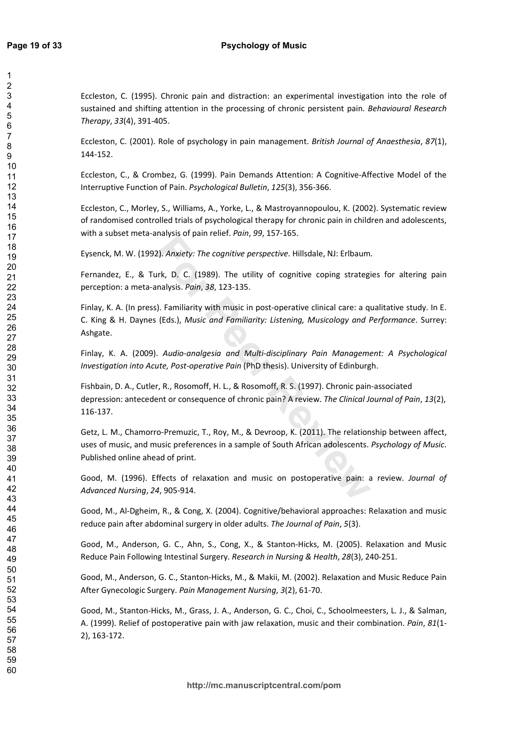Eccleston, C. (1995). Chronic pain and distraction: an experimental investigation into the role of sustained and shifting attention in the processing of chronic persistent pain. Behavioural Research Therapy, 33(4), 391-405.

Eccleston, C. (2001). Role of psychology in pain management. British Journal of Anaesthesia, 87(1), 144-152.

Eccleston, C., & Crombez, G. (1999). Pain Demands Attention: A Cognitive-Affective Model of the Interruptive Function of Pain. Psychological Bulletin, 125(3), 356-366.

Eccleston, C., Morley, S., Williams, A., Yorke, L., & Mastroyannopoulou, K. (2002). Systematic review of randomised controlled trials of psychological therapy for chronic pain in children and adolescents, with a subset meta-analysis of pain relief. Pain, 99, 157-165.

Eysenck, M. W. (1992). Anxiety: The cognitive perspective. Hillsdale, NJ: Erlbaum.

Fernandez, E., & Turk, D. C. (1989). The utility of cognitive coping strategies for altering pain perception: a meta-analysis. Pain, 38, 123-135.

Finlay, K. A. (In press). Familiarity with music in post-operative clinical care: a qualitative study. In E. C. King & H. Daynes (Eds.), Music and Familiarity: Listening, Musicology and Performance. Surrey: Ashgate.

Finlay, K. A. (2009). Audio-analgesia and Multi-disciplinary Pain Management: A Psychological Investigation into Acute, Post-operative Pain (PhD thesis). University of Edinburgh.

Fishbain, D. A., Cutler, R., Rosomoff, H. L., & Rosomoff, R. S. (1997). Chronic pain-associated depression: antecedent or consequence of chronic pain? A review. The Clinical Journal of Pain, 13(2), 116-137.

Getz, L. M., Chamorro-Premuzic, T., Roy, M., & Devroop, K. (2011). The relationship between affect, uses of music, and music preferences in a sample of South African adolescents. Psychology of Music. Published online ahead of print.

Good, M. (1996). Effects of relaxation and music on postoperative pain: a review. Journal of Advanced Nursing, 24, 905-914.

Good, M., Al-Dgheim, R., & Cong, X. (2004). Cognitive/behavioral approaches: Relaxation and music reduce pain after abdominal surgery in older adults. The Journal of Pain, 5(3).

Good, M., Anderson, G. C., Ahn, S., Cong, X., & Stanton-Hicks, M. (2005). Relaxation and Music Reduce Pain Following Intestinal Surgery. Research in Nursing & Health, 28(3), 240-251.

Good, M., Anderson, G. C., Stanton-Hicks, M., & Makii, M. (2002). Relaxation and Music Reduce Pain After Gynecologic Surgery. Pain Management Nursing, 3(2), 61-70.

Good, M., Stanton-Hicks, M., Grass, J. A., Anderson, G. C., Choi, C., Schoolmeesters, L. J., & Salman, A. (1999). Relief of postoperative pain with jaw relaxation, music and their combination. Pain, 81(1-2), 163-172.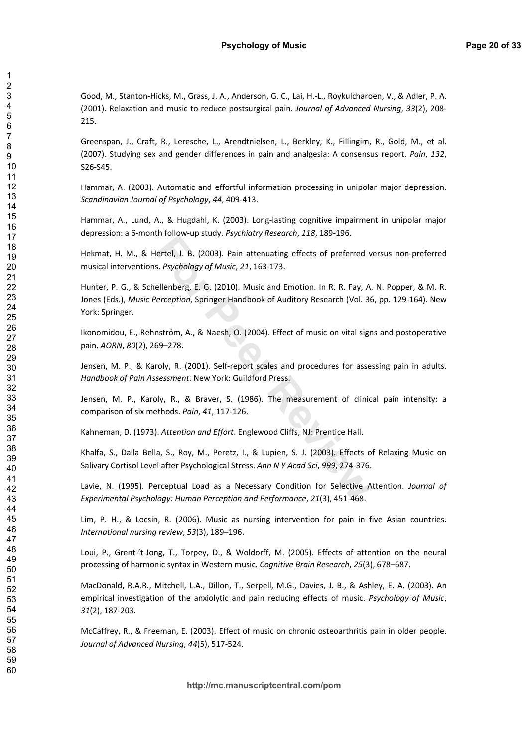Good, M., Stanton-Hicks, M., Grass, J. A., Anderson, G. C., Lai, H.-L., Roykulcharoen, V., & Adler, P. A. (2001). Relaxation and music to reduce postsurgical pain. Journal of Advanced Nursing, 33(2), 208-215.

Greenspan, J., Craft, R., Leresche, L., Arendtnielsen, L., Berkley, K., Fillingim, R., Gold, M., et al. (2007). Studying sex and gender differences in pain and analgesia: A consensus report. Pain, 132, S26-S45.

Hammar, A. (2003). Automatic and effortful information processing in unipolar major depression. Scandinavian Journal of Psychology, 44, 409-413.

Hammar, A., Lund, A., & Hugdahl, K. (2003). Long-lasting cognitive impairment in unipolar major depression: a 6-month follow-up study. Psychiatry Research, 118, 189-196.

Hekmat, H. M., & Hertel, J. B. (2003). Pain attenuating effects of preferred versus non-preferred musical interventions. Psychology of Music, 21, 163-173.

Hunter, P. G., & Schellenberg, E. G. (2010). Music and Emotion. In R. R. Fay, A. N. Popper, & M. R. Jones (Eds.), Music Perception, Springer Handbook of Auditory Research (Vol. 36, pp. 129-164). New York: Springer.

Ikonomidou, E., Rehnström, A., & Naesh, O. (2004). Effect of music on vital signs and postoperative pain. AORN, 80(2), 269-278.

Jensen, M. P., & Karoly, R. (2001). Self-report scales and procedures for assessing pain in adults. Handbook of Pain Assessment. New York: Guildford Press.

Jensen, M. P., Karoly, R., & Braver, S. (1986). The measurement of clinical pain intensity: a comparison of six methods. Pain, 41, 117-126.

Kahneman, D. (1973). Attention and Effort. Englewood Cliffs, NJ: Prentice Hall.

Khalfa, S., Dalla Bella, S., Roy, M., Peretz, I., & Lupien, S. J. (2003). Effects of Relaxing Music on Salivary Cortisol Level after Psychological Stress. Ann N Y Acad Sci, 999, 274-376.

Lavie, N. (1995). Perceptual Load as a Necessary Condition for Selective Attention. Journal of Experimental Psychology: Human Perception and Performance, 21(3), 451-468.

Lim, P. H., & Locsin, R. (2006). Music as nursing intervention for pain in five Asian countries. International nursing review, 53(3), 189-196.

Loui, P., Grent-'t-Jong, T., Torpey, D., & Woldorff, M. (2005). Effects of attention on the neural processing of harmonic syntax in Western music. Cognitive Brain Research, 25(3), 678-687.

MacDonald, R.A.R., Mitchell, L.A., Dillon, T., Serpell, M.G., Davies, J. B., & Ashley, E. A. (2003). An empirical investigation of the anxiolytic and pain reducing effects of music. Psychology of Music, 31(2), 187-203.

McCaffrey, R., & Freeman, E. (2003). Effect of music on chronic osteoarthritis pain in older people. Journal of Advanced Nursing, 44(5), 517-524.

 $\overline{1}$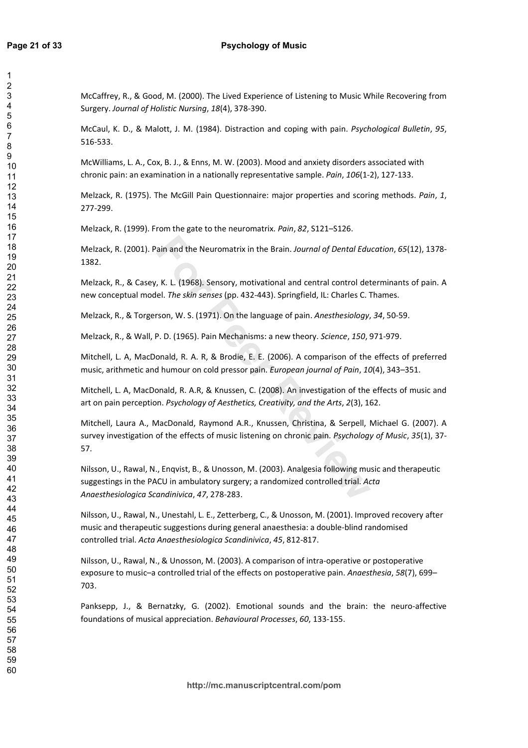McCaffrey, R., & Good, M. (2000). The Lived Experience of Listening to Music While Recovering from Surgery. Journal of Holistic Nursing, 18(4), 378-390.

McCaul, K. D., & Malott, J. M. (1984). Distraction and coping with pain. Psychological Bulletin, 95, 516-533.

McWilliams, L. A., Cox, B. J., & Enns, M. W. (2003). Mood and anxiety disorders associated with chronic pain: an examination in a nationally representative sample. Pain, 106(1-2), 127-133.

Melzack, R. (1975). The McGill Pain Questionnaire: major properties and scoring methods. Pain, 1, 277-299.

Melzack, R. (1999). From the gate to the neuromatrix. Pain, 82, S121-S126.

Melzack, R. (2001). Pain and the Neuromatrix in the Brain. Journal of Dental Education, 65(12), 1378-1382.

Melzack, R., & Casey, K. L. (1968). Sensory, motivational and central control determinants of pain. A new conceptual model. The skin senses (pp. 432-443). Springfield, IL: Charles C. Thames.

Melzack, R., & Torgerson, W. S. (1971). On the language of pain. Anesthesiology, 34, 50-59.

Melzack, R., & Wall, P. D. (1965). Pain Mechanisms: a new theory. Science, 150, 971-979.

Mitchell, L. A, MacDonald, R. A. R, & Brodie, E. E. (2006). A comparison of the effects of preferred music, arithmetic and humour on cold pressor pain. European journal of Pain, 10(4), 343-351.

Mitchell, L. A, MacDonald, R. A.R, & Knussen, C. (2008). An investigation of the effects of music and art on pain perception. Psychology of Aesthetics, Creativity, and the Arts, 2(3), 162.

Mitchell, Laura A., MacDonald, Raymond A.R., Knussen, Christina, & Serpell, Michael G. (2007). A survey investigation of the effects of music listening on chronic pain. Psychology of Music, 35(1), 37-57.

Nilsson, U., Rawal, N., Enqvist, B., & Unosson, M. (2003). Analgesia following music and therapeutic suggestings in the PACU in ambulatory surgery; a randomized controlled trial. Acta Anaesthesiologica Scandinivica, 47, 278-283.

Nilsson, U., Rawal, N., Unestahl, L. E., Zetterberg, C., & Unosson, M. (2001). Improved recovery after music and therapeutic suggestions during general anaesthesia: a double-blind randomised controlled trial. Acta Anaesthesiologica Scandinivica, 45, 812-817.

Nilsson, U., Rawal, N., & Unosson, M. (2003). A comparison of intra-operative or postoperative exposure to music-a controlled trial of the effects on postoperative pain. Anaesthesia, 58(7), 699-703.

Panksepp, J., & Bernatzky, G. (2002). Emotional sounds and the brain: the neuro-affective foundations of musical appreciation. Behavioural Processes, 60, 133-155.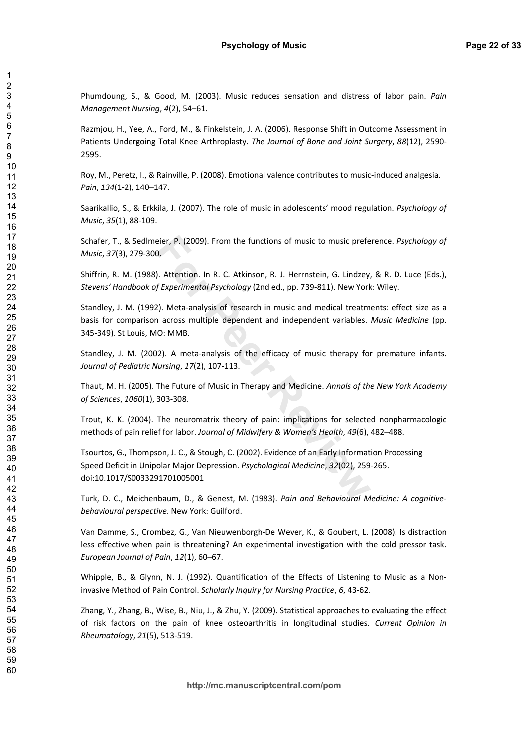Phumdoung, S., & Good, M. (2003). Music reduces sensation and distress of labor pain. Pain Management Nursing, 4(2), 54-61.

Razmjou, H., Yee, A., Ford, M., & Finkelstein, J. A. (2006). Response Shift in Outcome Assessment in Patients Undergoing Total Knee Arthroplasty. The Journal of Bone and Joint Surgery, 88(12), 2590-2595.

Roy, M., Peretz, I., & Rainville, P. (2008). Emotional valence contributes to music-induced analgesia. Pain, 134(1-2), 140-147.

Saarikallio, S., & Erkkila, J. (2007). The role of music in adolescents' mood regulation. Psychology of Music, 35(1), 88-109.

Schafer, T., & Sedlmeier, P. (2009). From the functions of music to music preference. Psychology of Music, 37(3), 279-300.

Shiffrin, R. M. (1988). Attention. In R. C. Atkinson, R. J. Herrnstein, G. Lindzey, & R. D. Luce (Eds.), Stevens' Handbook of Experimental Psychology (2nd ed., pp. 739-811). New York: Wiley.

Standley, J. M. (1992). Meta-analysis of research in music and medical treatments: effect size as a basis for comparison across multiple dependent and independent variables. Music Medicine (pp. 345-349). St Louis, MO: MMB.

Standley, J. M. (2002). A meta-analysis of the efficacy of music therapy for premature infants. Journal of Pediatric Nursing, 17(2), 107-113.

Thaut, M. H. (2005). The Future of Music in Therapy and Medicine. Annals of the New York Academy of Sciences, 1060(1), 303-308.

Trout, K. K. (2004). The neuromatrix theory of pain: implications for selected nonpharmacologic methods of pain relief for labor. Journal of Midwifery & Women's Health, 49(6), 482-488.

Tsourtos, G., Thompson, J. C., & Stough, C. (2002). Evidence of an Early Information Processing Speed Deficit in Unipolar Major Depression. Psychological Medicine, 32(02), 259-265. doi:10.1017/S0033291701005001

Turk, D. C., Meichenbaum, D., & Genest, M. (1983). Pain and Behavioural Medicine: A cognitivebehavioural perspective. New York: Guilford.

Van Damme, S., Crombez, G., Van Nieuwenborgh-De Wever, K., & Goubert, L. (2008). Is distraction less effective when pain is threatening? An experimental investigation with the cold pressor task. European Journal of Pain, 12(1), 60-67.

Whipple, B., & Glynn, N. J. (1992). Quantification of the Effects of Listening to Music as a Noninvasive Method of Pain Control. Scholarly Inquiry for Nursing Practice, 6, 43-62.

Zhang, Y., Zhang, B., Wise, B., Niu, J., & Zhu, Y. (2009). Statistical approaches to evaluating the effect of risk factors on the pain of knee osteoarthritis in longitudinal studies. Current Opinion in Rheumatology, 21(5), 513-519.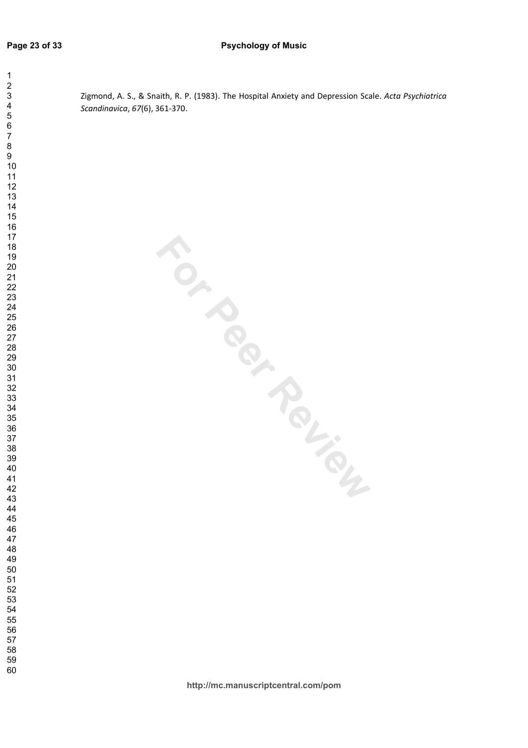Zigmond, A. S., & Snaith, R. P. (1983). The Hospital Anxiety and Depression Scale. Acta Psychiatrica Scandinavica, 67(6), 361-370.

TON BOOM POINT ON TON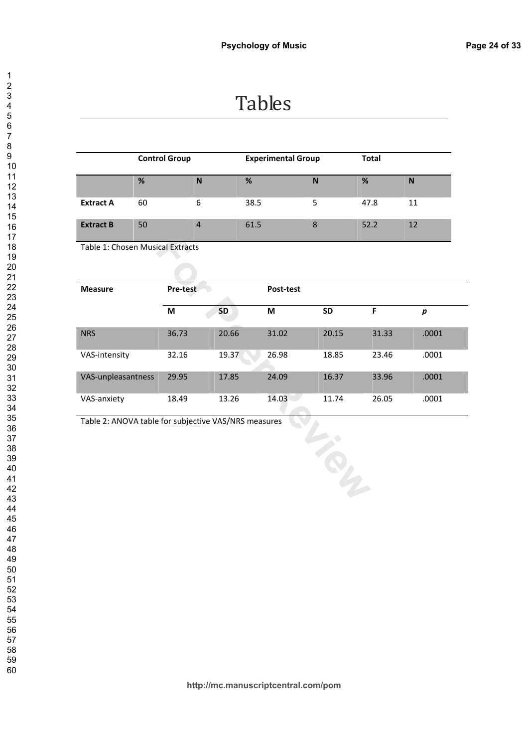# **Tables**

|                  | <b>Control Group</b> |   | <b>Experimental Group</b> |   | <b>Total</b> |    |
|------------------|----------------------|---|---------------------------|---|--------------|----|
|                  | %                    | N | %                         | N | %            |    |
| <b>Extract A</b> | 60                   | 6 | 38.5                      | 5 | 47.8         | 11 |
| <b>Extract B</b> | 50                   | 4 | 61.5                      | 8 | 52.2         | 12 |

Table 1: Chosen Musical Extracts

| <b>Measure</b>                                       | Pre-test |           | Post-test |           |       |                  |
|------------------------------------------------------|----------|-----------|-----------|-----------|-------|------------------|
|                                                      | M        | <b>SD</b> | M         | <b>SD</b> | F     | $\boldsymbol{p}$ |
| <b>NRS</b>                                           | 36.73    | 20.66     | 31.02     | 20.15     | 31.33 | .0001            |
| VAS-intensity                                        | 32.16    | 19.37     | 26.98     | 18.85     | 23.46 | .0001            |
| VAS-unpleasantness                                   | 29.95    | 17.85     | 24.09     | 16.37     | 33.96 | .0001            |
| VAS-anxiety                                          | 18.49    | 13.26     | 14.03     | 11.74     | 26.05 | .0001            |
| Table 2: ANOVA table for subjective VAS/NRS measures |          |           |           |           |       |                  |
|                                                      |          |           |           |           |       |                  |
|                                                      |          |           |           |           |       |                  |
|                                                      |          |           |           |           |       |                  |

123456789

 $\mathbf{1}$  $\overline{2}$ 3  $\overline{\mathbf{4}}$ 5 6  $\overline{7}$ 8  $\overline{9}$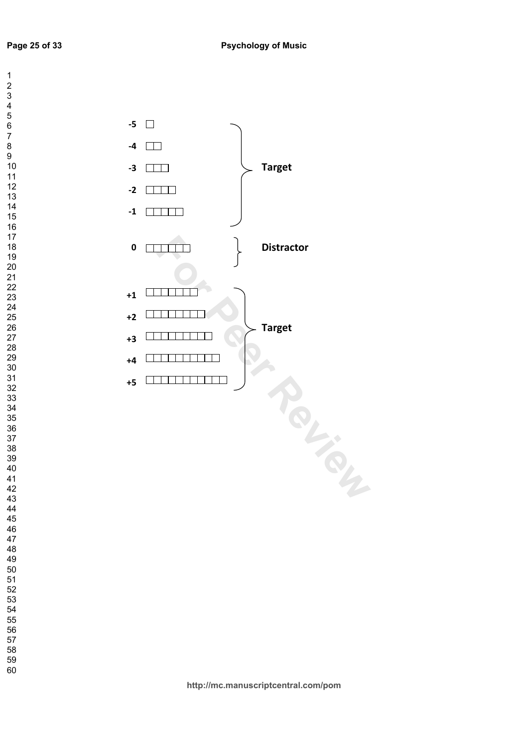$\overline{7}$ 

 $\mathbf{1}$  $\overline{2}$  $\overline{\mathbf{4}}$ 

 $\overline{9}$ 

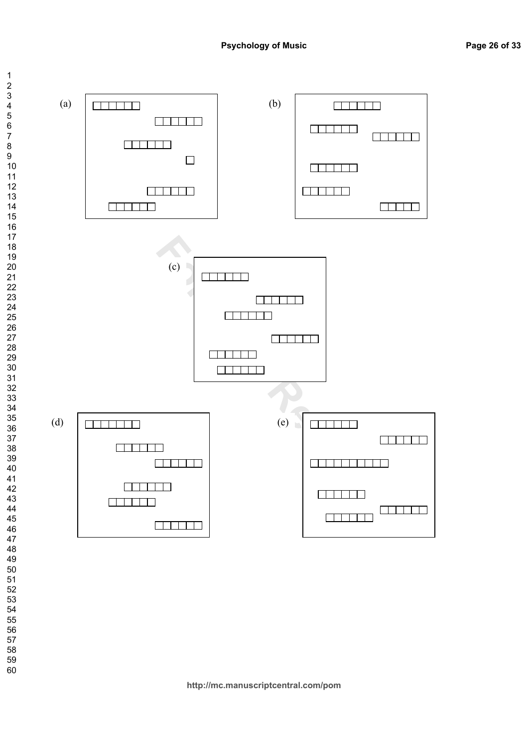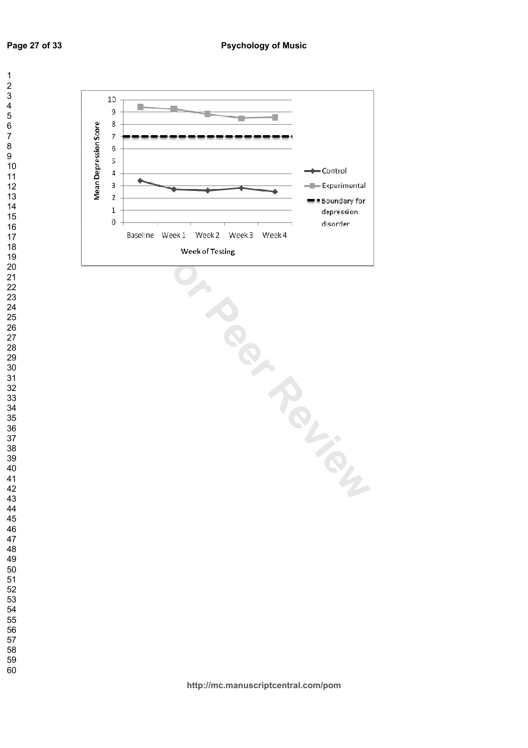



Baseline Week 1 Week 2 Week 3 Week 4<br>
Week of Testing<br> **For Peer Review Ave.**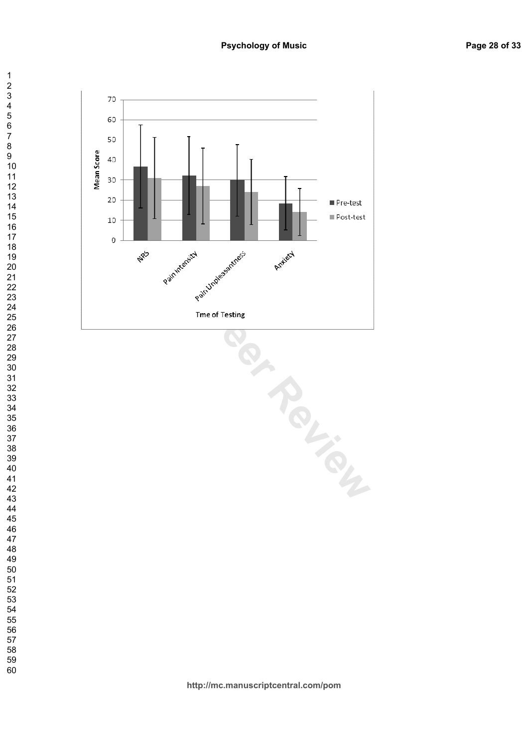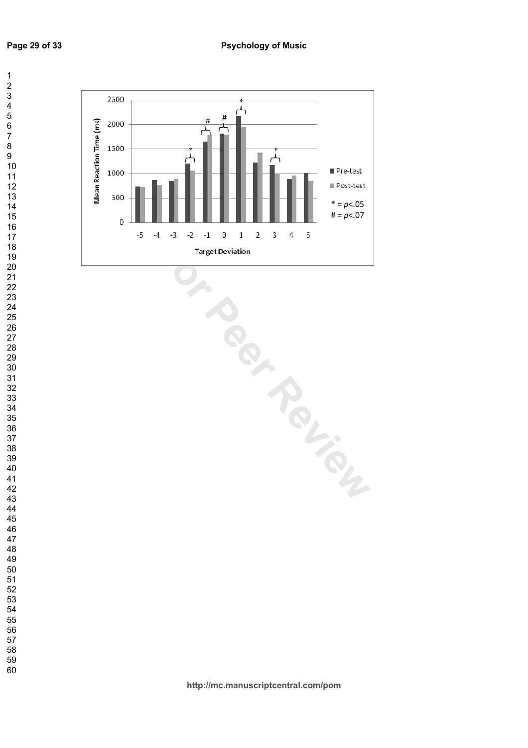

**Forget Deviation**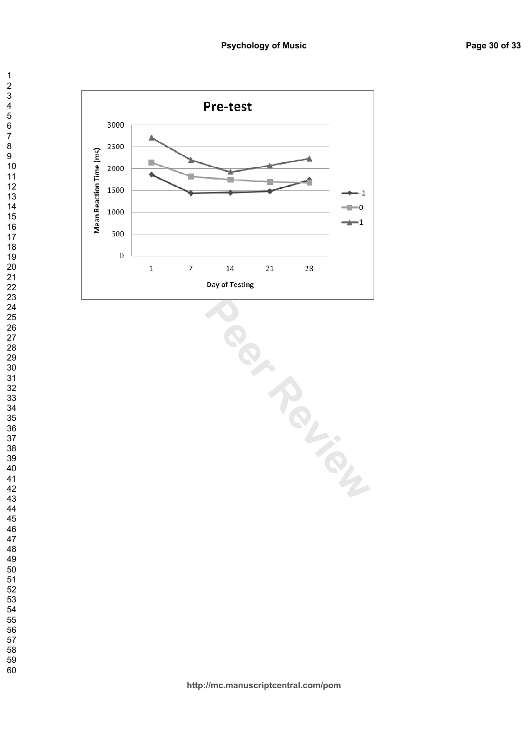

They of Testing<br> **For Performed Property Contract Property** 

 $\overline{7}$ 

 $\mathbf{1}$  $\overline{2}$  $\overline{\mathbf{4}}$ 

 $\overline{9}$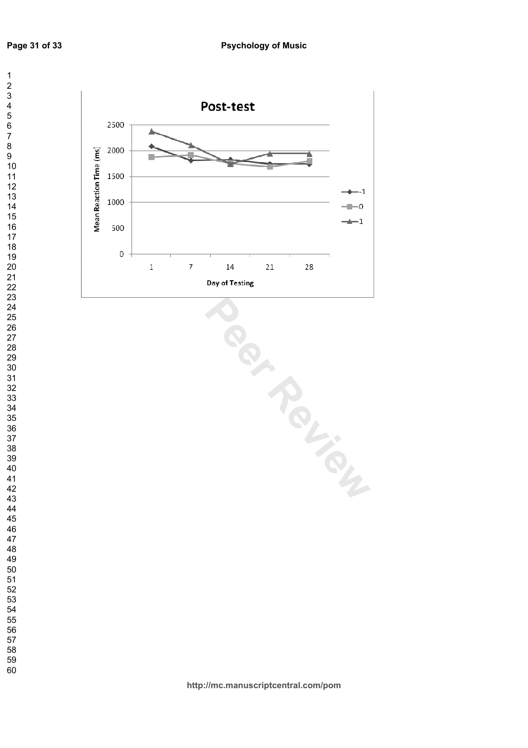$\overline{7}$ 

 $\overline{\mathbf{4}}$ 

 $\mathbf{1}$  $\overline{2}$ 



Pey of Testing<br> **For Pey of Testing**<br> **For Pey of Testing**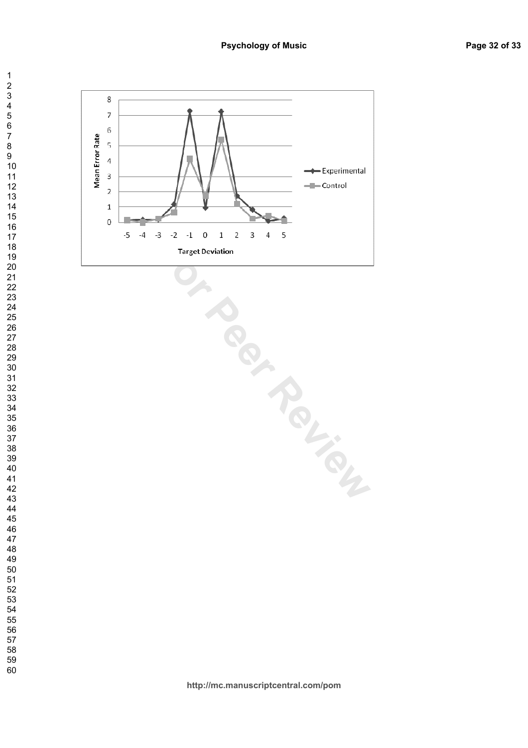

**Forget Deviation** 

 $\overline{7}$ 

 $\overline{\mathbf{4}}$ 

 $\mathbf{1}$  $\overline{2}$